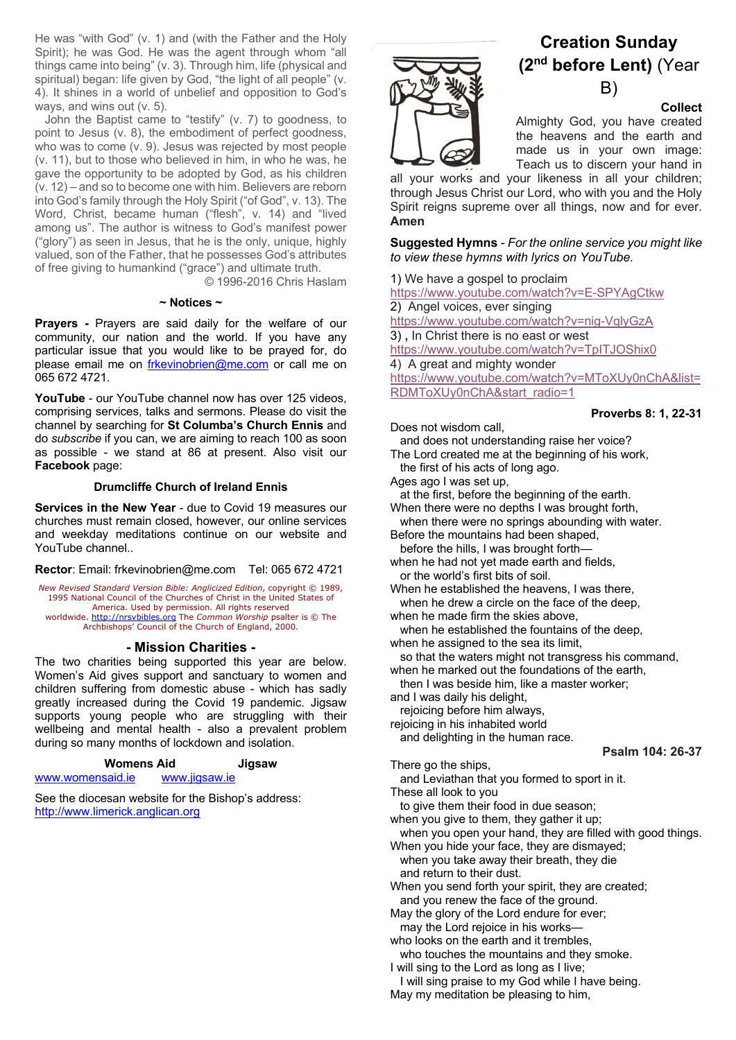He was "with God" (v. 1) and (with the Father and the Holy Spirit); he was God. He was the agent through whom "all things came into being" (v. 3). Through him, life (physical and spiritual) began: life given by God, "the light of all people" (v. 4). It shines in a world of unbelief and opposition to God's ways, and wins out (v. 5).

 John the Baptist came to "testify" (v. 7) to goodness, to point to Jesus (v. 8), the embodiment of perfect goodness, who was to come (v. 9). Jesus was rejected by most people (v. 11), but to those who believed in him, in who he was, he gave the opportunity to be adopted by God, as his children (v. 12) – and so to become one with him. Believers are reborn into God's family through the Holy Spirit ("of God", v. 13). The Word, Christ, became human ("flesh", v. 14) and "lived among us". The author is witness to God's manifest power ("glory") as seen in Jesus, that he is the only, unique, highly valued, son of the Father, that he possesses God's attributes of free giving to humankind ("grace") and ultimate truth.

© 1996-2016 Chris Haslam

### **~ Notices ~**

**Prayers -** Prayers are said daily for the welfare of our community, our nation and the world. If you have any particular issue that you would like to be prayed for, do please email me on frkevinobrien@me.com or call me on 065 672 4721.

**YouTube** - our YouTube channel now has over 125 videos, comprising services, talks and sermons. Please do visit the channel by searching for **St Columba's Church Ennis** and do *subscribe* if you can, we are aiming to reach 100 as soon as possible - we stand at 86 at present. Also visit our **Facebook** page:

# **Drumcliffe Church of Ireland Ennis**

**Services in the New Year** - due to Covid 19 measures our churches must remain closed, however, our online services and weekday meditations continue on our website and YouTube channel..

**Rector**: Email: frkevinobrien@me.com Tel: 065 672 4721

*New Revised Standard Version Bible: Anglicized Edition*, copyright © 1989, 1995 National Council of the Churches of Christ in the United States of America. Used by permission. All rights reserved worldwide. http://nrsvbibles.org The *Common Worship* psalter is © The Archbishops' Council of the Church of England, 2000.

## **- Mission Charities -**

The two charities being supported this year are below. Women's Aid gives support and sanctuary to women and children suffering from domestic abuse - which has sadly greatly increased during the Covid 19 pandemic. Jigsaw supports young people who are struggling with their wellbeing and mental health - also a prevalent problem during so many months of lockdown and isolation.

| <b>Womens Aid</b> |                                       | Jigsaw |
|-------------------|---------------------------------------|--------|
| . 1 . 1           | and the company of the company of the |        |

www.womensaid.ie www.jigsaw.ie

See the diocesan website for the Bishop's address: http://www.limerick.anglican.org

# **Creation Sunday (2nd before Lent)** (Year B)

# **Collect**

Almighty God, you have created the heavens and the earth and made us in your own image: Teach us to discern your hand in

all your works and your likeness in all your children; through Jesus Christ our Lord, who with you and the Holy Spirit reigns supreme over all things, now and for ever. **Amen**

**Suggested Hymns** - *For the online service you might like to view these hymns with lyrics on YouTube.*

1) We have a gospel to proclaim https://www.youtube.com/watch?v=E-SPYAgCtkw 2) Angel voices, ever singing https://www.youtube.com/watch?v=nig-VqlyGzA 3) **,** In Christ there is no east or west https://www.youtube.com/watch?v=TpITJOShix0 4) A great and mighty wonder https://www.youtube.com/watch?v=MToXUy0nChA&list= RDMToXUy0nChA&start\_radio=1

# **Proverbs 8: 1, 22-31**

**Psalm 104: 26-37**

Does not wisdom call,

 and does not understanding raise her voice? The Lord created me at the beginning of his work,

- the first of his acts of long ago.
- Ages ago I was set up,
- at the first, before the beginning of the earth. When there were no depths I was brought forth,
- when there were no springs abounding with water. Before the mountains had been shaped,
- before the hills, I was brought forth—
- when he had not yet made earth and fields, or the world's first bits of soil.

When he established the heavens, I was there, when he drew a circle on the face of the deep,

- when he made firm the skies above,
- when he established the fountains of the deep, when he assigned to the sea its limit,
- so that the waters might not transgress his command,
- when he marked out the foundations of the earth, then I was beside him, like a master worker;
- and I was daily his delight,
- rejoicing before him always.
- rejoicing in his inhabited world

and delighting in the human race.

There go the ships,

and Leviathan that you formed to sport in it.

These all look to you

to give them their food in due season;

when you give to them, they gather it up;

 when you open your hand, they are filled with good things. When you hide your face, they are dismayed;

 when you take away their breath, they die and return to their dust.

When you send forth your spirit, they are created; and you renew the face of the ground.

May the glory of the Lord endure for ever; may the Lord rejoice in his works—

who looks on the earth and it trembles.

 who touches the mountains and they smoke. I will sing to the Lord as long as I live;

I will sing praise to my God while I have being.

May my meditation be pleasing to him,